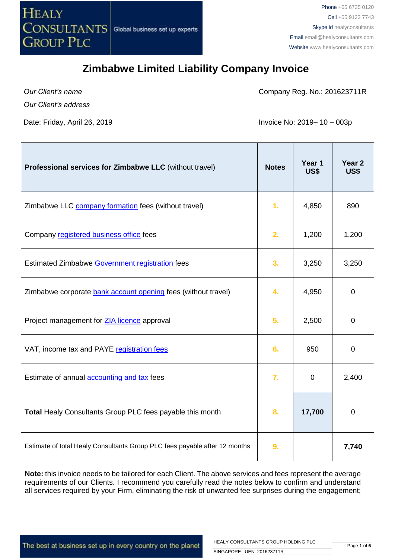

*Our Client's name*

Company Reg. No.: 201623711R

*Our Client's address*

Date: Friday, April 26, 2019 **Invoice No: 2019** 10 – 003p

| Professional services for Zimbabwe LLC (without travel)                    | <b>Notes</b>   | Year 1<br>US\$ | Year <sub>2</sub><br>US\$ |
|----------------------------------------------------------------------------|----------------|----------------|---------------------------|
| Zimbabwe LLC company formation fees (without travel)                       | 1 <sub>r</sub> | 4,850          | 890                       |
| Company registered business office fees                                    | 2.             | 1,200          | 1,200                     |
| Estimated Zimbabwe Government registration fees                            | 3.             | 3,250          | 3,250                     |
| Zimbabwe corporate bank account opening fees (without travel)              | 4.             | 4,950          | $\overline{0}$            |
| Project management for <b>ZIA licence</b> approval                         | 5.             | 2,500          | 0                         |
| VAT, income tax and PAYE registration fees                                 | 6.             | 950            | $\overline{0}$            |
| Estimate of annual accounting and tax fees                                 | 7.             | 0              | 2,400                     |
| <b>Total Healy Consultants Group PLC fees payable this month</b>           | 8.             | 17,700         | $\mathbf 0$               |
| Estimate of total Healy Consultants Group PLC fees payable after 12 months | 9.             |                | 7,740                     |

**Note:** this invoice needs to be tailored for each Client. The above services and fees represent the average requirements of our Clients. I recommend you carefully read the notes below to confirm and understand all services required by your Firm, eliminating the risk of unwanted fee surprises during the engagement;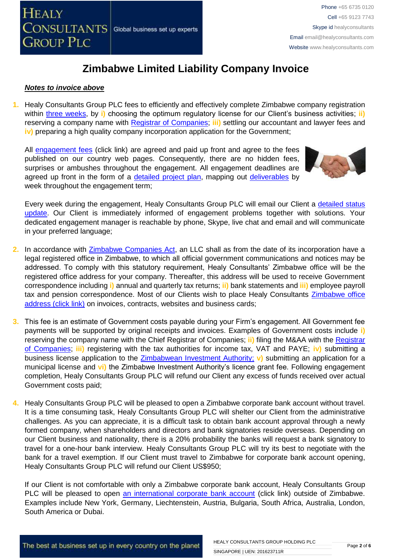

#### *Notes to invoice above*

**1.** Healy Consultants Group PLC fees to efficiently and effectively complete Zimbabwe company registration within [three weeks,](http://www.healyconsultants.com/zimbabwe-company-registration/fees-timelines/#timelines) by **i)** choosing the optimum regulatory license for our Client's business activities; **ii)** reserving a company name with [Registrar of Companies;](http://www.rg.gov.zw/) **iii)** settling our accountant and lawyer fees and **iv)** preparing a high quality company incorporation application for the Government;

All [engagement fees](http://www.healyconsultants.com/company-registration-fees/) (click link) are agreed and paid up front and agree to the fees published on our country web pages. Consequently, there are no hidden fees, surprises or ambushes throughout the engagement. All engagement deadlines are agreed up front in the form of a [detailed project plan,](http://www.healyconsultants.com/index-important-links/example-project-plan/) mapping out [deliverables](http://www.healyconsultants.com/deliverables-to-our-clients/) by week throughout the engagement term;



Every week during the engagement, Healy Consultants Group PLC will email our Client a detailed status [update.](http://www.healyconsultants.com/index-important-links/weekly-engagement-status-email/) Our Client is immediately informed of engagement problems together with solutions. Your dedicated engagement manager is reachable by phone, Skype, live chat and email and will communicate in your preferred language;

- **2.** In accordance with Zimbabwe [Companies Act,](http://www.parlzim.gov.zw/attachments/article/110/COMPANIES_ACT_24_03.pdf) an LLC shall as from the date of its incorporation have a legal registered office in Zimbabwe, to which all official government communications and notices may be addressed. To comply with this statutory requirement, Healy Consultants' Zimbabwe office will be the registered office address for your company. Thereafter, this address will be used to receive Government correspondence including **i)** annual and quarterly tax returns; **ii)** bank statements and **iii)** employee payroll tax and pension correspondence. Most of our Clients wish to place Healy Consultants Zimbabwe office [address \(click link\)](http://www.healyconsultants.com/virtual-office/) on invoices, contracts, websites and business cards;
- **3.** This fee is an estimate of Government costs payable during your Firm's engagement. All Government fee payments will be supported by original receipts and invoices. Examples of Government costs include **i)** reserving the company name with the Chief Registrar of Companies; **ii)** filing the M&AA with the [Registrar](http://www.rg.gov.zw/)  [of Companies;](http://www.rg.gov.zw/) **iii)** registering with the tax authorities for income tax, VAT and PAYE; **iv)** submitting a business license application to the [Zimbabwean Investment Authority;](http://www.investzim.com/) **v)** submitting an application for a municipal license and **vi)** the Zimbabwe Investment Authority's licence grant fee. Following engagement completion, Healy Consultants Group PLC will refund our Client any excess of funds received over actual Government costs paid;
- **4.** Healy Consultants Group PLC will be pleased to open a Zimbabwe corporate bank account without travel. It is a time consuming task, Healy Consultants Group PLC will shelter our Client from the administrative challenges. As you can appreciate, it is a difficult task to obtain bank account approval through a newly formed company, when shareholders and directors and bank signatories reside overseas. Depending on our Client business and nationality, there is a 20% probability the banks will request a bank signatory to travel for a one-hour bank interview. Healy Consultants Group PLC will try its best to negotiate with the bank for a travel exemption. If our Client must travel to Zimbabwe for corporate bank account opening, Healy Consultants Group PLC will refund our Client US\$950;

If our Client is not comfortable with only a Zimbabwe corporate bank account, Healy Consultants Group PLC will be pleased to open [an international corporate bank account](http://www.healyconsultants.com/international-banking/) (click link) outside of Zimbabwe. Examples include New York, Germany, Liechtenstein, Austria, Bulgaria, South Africa, Australia, London, South America or Dubai.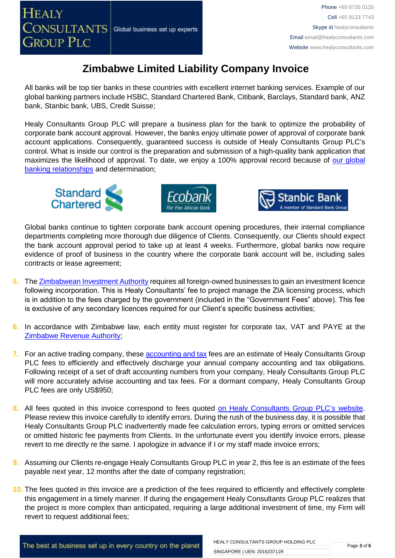All banks will be top tier banks in these countries with excellent internet banking services. Example of our global banking partners include HSBC, Standard Chartered Bank, Citibank, Barclays, Standard bank, ANZ bank, Stanbic bank, UBS, Credit Suisse;

Healy Consultants Group PLC will prepare a business plan for the bank to optimize the probability of corporate bank account approval. However, the banks enjoy ultimate power of approval of corporate bank account applications. Consequently, guaranteed success is outside of Healy Consultants Group PLC's control. What is inside our control is the preparation and submission of a high-quality bank application that maximizes the likelihood of approval. To date, we enjoy a 100% approval record because of [our global](http://www.healyconsultants.com/international-banking/corporate-accounts/)  [banking relationships](http://www.healyconsultants.com/international-banking/corporate-accounts/) and determination;







Global banks continue to tighten corporate bank account opening procedures, their internal compliance departments completing more thorough due diligence of Clients. Consequently, our Clients should expect the bank account approval period to take up at least 4 weeks. Furthermore, global banks now require evidence of proof of business in the country where the corporate bank account will be, including sales contracts or lease agreement;

- **5.** Th[e Zimbabwean Investment Authority](http://www.investzim.com/) requires all foreign-owned businesses to gain an investment licence following incorporation. This is Healy Consultants' fee to project manage the ZIA licensing process, which is in addition to the fees charged by the government (included in the "Government Fees" above). This fee is exclusive of any secondary licences required for our Client's specific business activities;
- **6.** In accordance with Zimbabwe law, each entity must register for corporate tax, VAT and PAYE at the [Zimbabwe Revenue Authority;](http://www.zimra.co.zw/index.php?option=com_content&view=article&id=73&Itemid=72)
- **7.** For an active trading company, thes[e accounting and tax](http://www.healyconsultants.com/accounting-and-tax/) fees are an estimate of Healy Consultants Group PLC fees to efficiently and effectively discharge your annual company accounting and tax obligations. Following receipt of a set of draft accounting numbers from your company, Healy Consultants Group PLC will more accurately advise accounting and tax fees. For a dormant company, Healy Consultants Group PLC fees are only US\$950;
- 8. All fees quoted in this invoice correspond to fees quoted [on Healy Consultants](http://www.healyconsultants.com/company-registration-fees/) Group PLC's website. Please review this invoice carefully to identify errors. During the rush of the business day, it is possible that Healy Consultants Group PLC inadvertently made fee calculation errors, typing errors or omitted services or omitted historic fee payments from Clients. In the unfortunate event you identify invoice errors, please revert to me directly re the same. I apologize in advance if I or my staff made invoice errors;
- **9.** Assuming our Clients re-engage Healy Consultants Group PLC in year 2, this fee is an estimate of the fees payable next year, 12 months after the date of company registration;
- **10.** The fees quoted in this invoice are a prediction of the fees required to efficiently and effectively complete this engagement in a timely manner. If during the engagement Healy Consultants Group PLC realizes that the project is more complex than anticipated, requiring a large additional investment of time, my Firm will revert to request additional fees;

The best at business set up in every country on the planet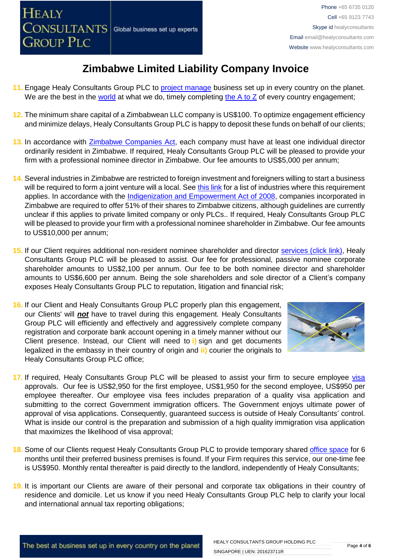- 11. Engage Healy Consultants Group PLC to [project manage](http://www.healyconsultants.com/project-manage-engagements/) business set up in every country on the planet. We are the best in the [world](http://www.healyconsultants.com/best-in-the-world/) at what we do, timely completing the  $A$  to  $Z$  of every country engagement;
- **12.** The minimum share capital of a Zimbabwean LLC company is US\$100. To optimize engagement efficiency and minimize delays, Healy Consultants Group PLC is happy to deposit these funds on behalf of our clients;
- **13.** In accordance with [Zimbabwe Companies Act,](http://www.parlzim.gov.zw/attachments/article/110/COMPANIES_ACT_24_03.pdf) each company must have at least one individual director ordinarily resident in Zimbabwe. If required, Healy Consultants Group PLC will be pleased to provide your firm with a professional nominee director in Zimbabwe. Our fee amounts to US\$5,000 per annum;
- **14.** Several industries in Zimbabwe are restricted to foreign investment and foreigners willing to start a business will be required to form a joint venture will a local. See [this link](http://www.assecaa.org/images/investment_law/English/Zimbabwe_investment_gudie.pdf) for a list of industries where this requirement applies. In accordance with the [Indigenization and Empowerment Act of 2008,](http://www.loc.gov/law/foreign-news/article/zimbabwe-indigenization-and-empowerment-act/) companies incorporated in Zimbabwe are required to offer 51% of their shares to Zimbabwe citizens, although guidelines are currently unclear if this applies to private limited company or only PLCs.. If required, Healy Consultants Group PLC will be pleased to provide your firm with a professional nominee shareholder in Zimbabwe. Our fee amounts to US\$10,000 per annum;
- **15.** If our Client requires additional non-resident nominee shareholder and director services [\(click link\),](http://www.healyconsultants.com/corporate-outsourcing-services/nominee-shareholders-directors/) Healy Consultants Group PLC will be pleased to assist. Our fee for professional, passive nominee corporate shareholder amounts to US\$2,100 per annum. Our fee to be both nominee director and shareholder amounts to US\$6,600 per annum. Being the sole shareholders and sole director of a Client's company exposes Healy Consultants Group PLC to reputation, litigation and financial risk;
- **16.** If our Client and Healy Consultants Group PLC properly plan this engagement, our Clients' will *not* have to travel during this engagement. Healy Consultants Group PLC will efficiently and effectively and aggressively complete company registration and corporate bank account opening in a timely manner without our Client presence. Instead, our Client will need to **i)** sign and get documents legalized in the embassy in their country of origin and **ii)** courier the originals to Healy Consultants Group PLC office;



- **17.** If required, Healy Consultants Group PLC will be pleased to assist your firm to secure employee [visa](http://www.zimimmigration.gov.zw/) approvals. Our fee is US\$2,950 for the first employee, US\$1,950 for the second employee, US\$950 per employee thereafter. Our employee visa fees includes preparation of a quality visa application and submitting to the correct Government immigration officers. The Government enjoys ultimate power of approval of visa applications. Consequently, guaranteed success is outside of Healy Consultants' control. What is inside our control is the preparation and submission of a high quality immigration visa application that maximizes the likelihood of visa approval;
- **18.** Some of our Clients request Healy Consultants Group PLC to provide temporary shared [office space](http://www.healyconsultants.com/virtual-office/) for 6 months until their preferred business premises is found. If your Firm requires this service, our one-time fee is US\$950. Monthly rental thereafter is paid directly to the landlord, independently of Healy Consultants;
- **19.** It is important our Clients are aware of their personal and corporate tax obligations in their country of residence and domicile. Let us know if you need Healy Consultants Group PLC help to clarify your local and international annual tax reporting obligations;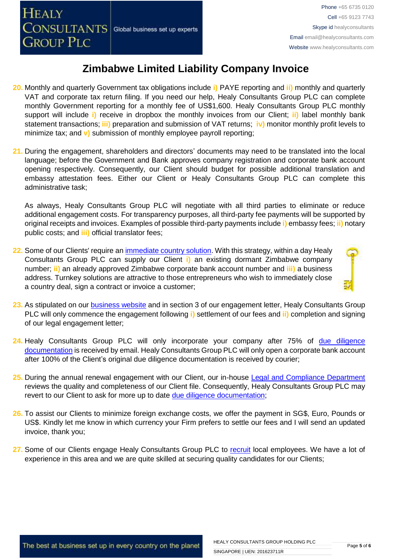- **20.** Monthly and quarterly Government tax obligations include **i)** PAYE reporting and **ii)** monthly and quarterly VAT and corporate tax return filing. If you need our help, Healy Consultants Group PLC can complete monthly Government reporting for a monthly fee of US\$1,600. Healy Consultants Group PLC monthly support will include **i)** receive in dropbox the monthly invoices from our Client; **ii)** label monthly bank statement transactions; **iii)** preparation and submission of VAT returns; **iv)** monitor monthly profit levels to minimize tax; and **v)** submission of monthly employee payroll reporting;
- **21.** During the engagement, shareholders and directors' documents may need to be translated into the local language; before the Government and Bank approves company registration and corporate bank account opening respectively. Consequently, our Client should budget for possible additional translation and embassy attestation fees. Either our Client or Healy Consultants Group PLC can complete this administrative task;

As always, Healy Consultants Group PLC will negotiate with all third parties to eliminate or reduce additional engagement costs. For transparency purposes, all third-party fee payments will be supported by original receipts and invoices. Examples of possible third-party payments include **i)** embassy fees; **ii)** notary public costs; and **iii)** official translator fees;

**22.** Some of our Clients' require a[n immediate country solution.](http://www.healyconsultants.com/turnkey-solutions/) With this strategy, within a day Healy Consultants Group PLC can supply our Client **i)** an existing dormant Zimbabwe company number; **ii)** an already approved Zimbabwe corporate bank account number and **iii)** a business address. Turnkey solutions are attractive to those entrepreneurs who wish to immediately close a country deal, sign a contract or invoice a customer:



- **23.** As stipulated on our [business website](http://www.healyconsultants.com/) and in section 3 of our engagement letter, Healy Consultants Group PLC will only commence the engagement following **i)** settlement of our fees and **ii)** completion and signing of our legal engagement letter;
- 24. Healy Consultants Group PLC will only incorporate your company after 75% of due diligence [documentation](http://www.healyconsultants.com/due-diligence/) is received by email. Healy Consultants Group PLC will only open a corporate bank account after 100% of the Client's original due diligence documentation is received by courier;
- **25.** During the annual renewal engagement with our Client, our in-house [Legal and Compliance Department](http://www.healyconsultants.com/about-us/key-personnel/cai-xin-profile/) reviews the quality and completeness of our Client file. Consequently, Healy Consultants Group PLC may revert to our Client to ask for more up to date [due diligence documentation;](http://www.healyconsultants.com/due-diligence/)
- **26.** To assist our Clients to minimize foreign exchange costs, we offer the payment in SG\$, Euro, Pounds or US\$. Kindly let me know in which currency your Firm prefers to settle our fees and I will send an updated invoice, thank you;
- **27.** Some of our Clients engage Healy Consultants Group PLC to [recruit](http://www.healyconsultants.com/corporate-outsourcing-services/how-we-help-our-clients-recruit-quality-employees/) local employees. We have a lot of experience in this area and we are quite skilled at securing quality candidates for our Clients;